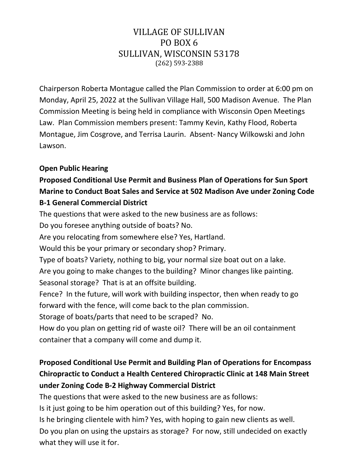## VILLAGE OF SULLIVAN PO BOX 6 SULLIVAN, WISCONSIN 53178 (262) 593-2388

Chairperson Roberta Montague called the Plan Commission to order at 6:00 pm on Monday, April 25, 2022 at the Sullivan Village Hall, 500 Madison Avenue. The Plan Commission Meeting is being held in compliance with Wisconsin Open Meetings Law. Plan Commission members present: Tammy Kevin, Kathy Flood, Roberta Montague, Jim Cosgrove, and Terrisa Laurin. Absent- Nancy Wilkowski and John Lawson.

### **Open Public Hearing**

## **Proposed Conditional Use Permit and Business Plan of Operations for Sun Sport Marine to Conduct Boat Sales and Service at 502 Madison Ave under Zoning Code B-1 General Commercial District**

The questions that were asked to the new business are as follows: Do you foresee anything outside of boats? No. Are you relocating from somewhere else? Yes, Hartland. Would this be your primary or secondary shop? Primary. Type of boats? Variety, nothing to big, your normal size boat out on a lake. Are you going to make changes to the building? Minor changes like painting. Seasonal storage? That is at an offsite building. Fence? In the future, will work with building inspector, then when ready to go forward with the fence, will come back to the plan commission. Storage of boats/parts that need to be scraped? No. How do you plan on getting rid of waste oil? There will be an oil containment container that a company will come and dump it.

# **Proposed Conditional Use Permit and Building Plan of Operations for Encompass Chiropractic to Conduct a Health Centered Chiropractic Clinic at 148 Main Street under Zoning Code B-2 Highway Commercial District**

The questions that were asked to the new business are as follows:

Is it just going to be him operation out of this building? Yes, for now.

Is he bringing clientele with him? Yes, with hoping to gain new clients as well. Do you plan on using the upstairs as storage? For now, still undecided on exactly what they will use it for.